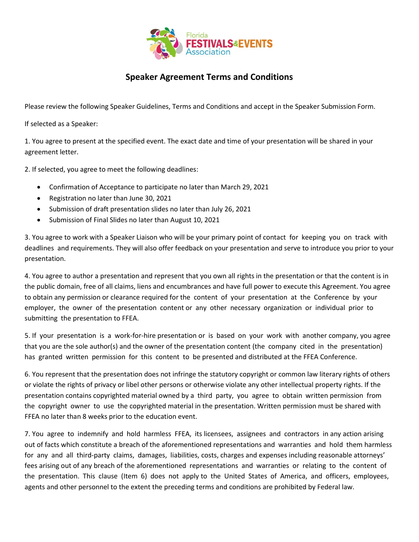

## **Speaker Agreement Terms and Conditions**

Please review the following Speaker Guidelines, Terms and Conditions and accept in the Speaker Submission Form.

If selected as a Speaker:

1. You agree to present at the specified event. The exact date and time of your presentation will be shared in your agreement letter.

2. If selected, you agree to meet the following deadlines:

- Confirmation of Acceptance to participate no later than March 29, 2021
- Registration no later than June 30, 2021
- Submission of draft presentation slides no later than July 26, 2021
- Submission of Final Slides no later than August 10, 2021

3. You agree to work with a Speaker Liaison who will be your primary point of contact for keeping you on track with deadlines and requirements. They will also offer feedback on your presentation and serve to introduce you prior to your presentation.

4. You agree to author a presentation and represent that you own all rights in the presentation or that the content is in the public domain, free of all claims, liens and encumbrances and have full power to execute this Agreement. You agree to obtain any permission or clearance required for the content of your presentation at the Conference by your employer, the owner of the presentation content or any other necessary organization or individual prior to submitting the presentation to FFEA.

5. If your presentation is a work-for-hire presentation or is based on your work with another company, you agree that you are the sole author(s) and the owner of the presentation content (the company cited in the presentation) has granted written permission for this content to be presented and distributed at the FFEA Conference.

6. You represent that the presentation does not infringe the statutory copyright or common law literary rights of others or violate the rights of privacy or libel other persons or otherwise violate any other intellectual property rights. If the presentation contains copyrighted material owned by a third party, you agree to obtain written permission from the copyright owner to use the copyrighted material in the presentation. Written permission must be shared with FFEA no later than 8 weeks prior to the education event.

7. You agree to indemnify and hold harmless FFEA, its licensees, assignees and contractors in any action arising out of facts which constitute a breach of the aforementioned representations and warranties and hold them harmless for any and all third-party claims, damages, liabilities, costs, charges and expenses including reasonable attorneys' fees arising out of any breach of the aforementioned representations and warranties or relating to the content of the presentation. This clause (Item 6) does not apply to the United States of America, and officers, employees, agents and other personnel to the extent the preceding terms and conditions are prohibited by Federal law.